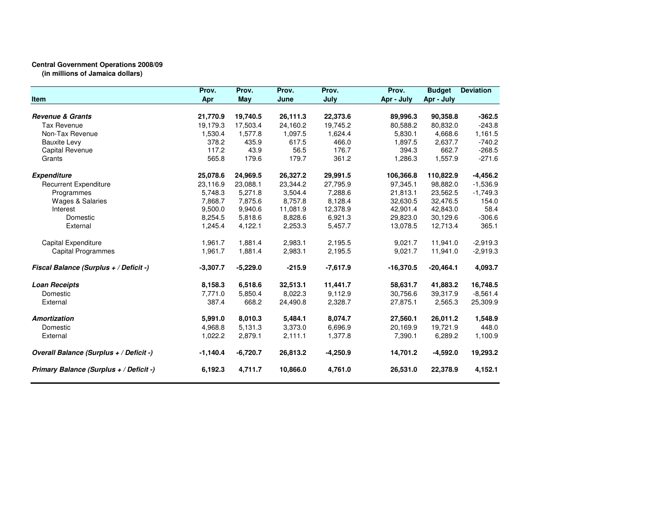## **Central Government Operations 2008/09 (in millions of Jamaica dollars)**

|                                         | Prov.      | Prov.      | Prov.    | Prov.      | Prov.       | <b>Budget</b> | <b>Deviation</b> |
|-----------------------------------------|------------|------------|----------|------------|-------------|---------------|------------------|
| Item                                    | Apr        | May        | June     | July       | Apr - July  | Apr - July    |                  |
| <b>Revenue &amp; Grants</b>             | 21,770.9   | 19,740.5   | 26,111.3 | 22,373.6   | 89,996.3    | 90,358.8      | $-362.5$         |
| Tax Revenue                             | 19,179.3   | 17.503.4   | 24.160.2 | 19,745.2   | 80.588.2    | 80.832.0      | $-243.8$         |
| Non-Tax Revenue                         | 1,530.4    | 1,577.8    | 1,097.5  | 1,624.4    | 5,830.1     | 4,668.6       | 1,161.5          |
| <b>Bauxite Levy</b>                     | 378.2      | 435.9      | 617.5    | 466.0      | 1,897.5     | 2,637.7       | $-740.2$         |
| Capital Revenue                         | 117.2      | 43.9       | 56.5     | 176.7      | 394.3       | 662.7         | $-268.5$         |
| Grants                                  | 565.8      | 179.6      | 179.7    | 361.2      | 1,286.3     | 1,557.9       | $-271.6$         |
|                                         |            |            |          |            |             |               |                  |
| <b>Expenditure</b>                      | 25,078.6   | 24,969.5   | 26,327.2 | 29,991.5   | 106,366.8   | 110,822.9     | $-4,456.2$       |
| <b>Recurrent Expenditure</b>            | 23,116.9   | 23,088.1   | 23,344.2 | 27,795.9   | 97,345.1    | 98,882.0      | $-1,536.9$       |
| Programmes                              | 5.748.3    | 5,271.8    | 3.504.4  | 7.288.6    | 21.813.1    | 23.562.5      | $-1,749.3$       |
| <b>Wages &amp; Salaries</b>             | 7,868.7    | 7,875.6    | 8,757.8  | 8,128.4    | 32,630.5    | 32,476.5      | 154.0            |
| Interest                                | 9,500.0    | 9,940.6    | 11,081.9 | 12,378.9   | 42,901.4    | 42,843.0      | 58.4             |
| Domestic                                | 8,254.5    | 5,818.6    | 8,828.6  | 6,921.3    | 29,823.0    | 30,129.6      | $-306.6$         |
| External                                | 1,245.4    | 4,122.1    | 2,253.3  | 5,457.7    | 13,078.5    | 12,713.4      | 365.1            |
| Capital Expenditure                     | 1,961.7    | 1,881.4    | 2,983.1  | 2,195.5    | 9,021.7     | 11,941.0      | $-2,919.3$       |
| Capital Programmes                      | 1,961.7    | 1,881.4    | 2,983.1  | 2,195.5    | 9,021.7     | 11,941.0      | $-2,919.3$       |
| Fiscal Balance (Surplus + / Deficit -)  | $-3,307.7$ | $-5,229.0$ | $-215.9$ | $-7,617.9$ | $-16,370.5$ | $-20,464.1$   | 4,093.7          |
| <b>Loan Receipts</b>                    | 8,158.3    | 6,518.6    | 32,513.1 | 11,441.7   | 58,631.7    | 41,883.2      | 16,748.5         |
| Domestic                                | 7,771.0    | 5,850.4    | 8,022.3  | 9,112.9    | 30,756.6    | 39,317.9      | $-8,561.4$       |
| External                                | 387.4      | 668.2      | 24,490.8 | 2,328.7    | 27,875.1    | 2,565.3       | 25,309.9         |
| <b>Amortization</b>                     | 5,991.0    | 8,010.3    | 5,484.1  | 8,074.7    | 27,560.1    | 26,011.2      | 1,548.9          |
| Domestic                                | 4,968.8    | 5,131.3    | 3,373.0  | 6,696.9    | 20,169.9    | 19,721.9      | 448.0            |
| External                                | 1,022.2    | 2,879.1    | 2,111.1  | 1,377.8    | 7,390.1     | 6,289.2       | 1,100.9          |
| Overall Balance (Surplus + / Deficit -) | $-1,140.4$ | $-6,720.7$ | 26,813.2 | $-4,250.9$ | 14,701.2    | $-4,592.0$    | 19,293.2         |
| Primary Balance (Surplus + / Deficit -) | 6,192.3    | 4,711.7    | 10,866.0 | 4,761.0    | 26,531.0    | 22,378.9      | 4,152.1          |